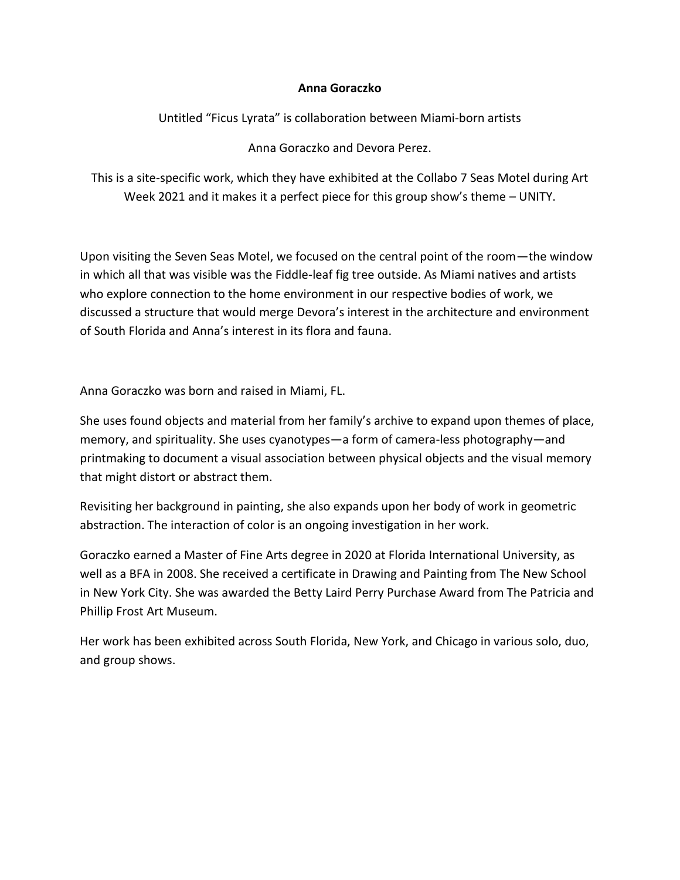## **Anna Goraczko**

Untitled "Ficus Lyrata" is collaboration between Miami-born artists

Anna Goraczko and Devora Perez.

This is a site-specific work, which they have exhibited at the Collabo 7 Seas Motel during Art Week 2021 and it makes it a perfect piece for this group show's theme – UNITY.

Upon visiting the Seven Seas Motel, we focused on the central point of the room—the window in which all that was visible was the Fiddle-leaf fig tree outside. As Miami natives and artists who explore connection to the home environment in our respective bodies of work, we discussed a structure that would merge Devora's interest in the architecture and environment of South Florida and Anna's interest in its flora and fauna.

Anna Goraczko was born and raised in Miami, FL.

She uses found objects and material from her family's archive to expand upon themes of place, memory, and spirituality. She uses cyanotypes—a form of camera-less photography—and printmaking to document a visual association between physical objects and the visual memory that might distort or abstract them.

Revisiting her background in painting, she also expands upon her body of work in geometric abstraction. The interaction of color is an ongoing investigation in her work.

Goraczko earned a Master of Fine Arts degree in 2020 at Florida International University, as well as a BFA in 2008. She received a certificate in Drawing and Painting from The New School in New York City. She was awarded the Betty Laird Perry Purchase Award from The Patricia and Phillip Frost Art Museum.

Her work has been exhibited across South Florida, New York, and Chicago in various solo, duo, and group shows.